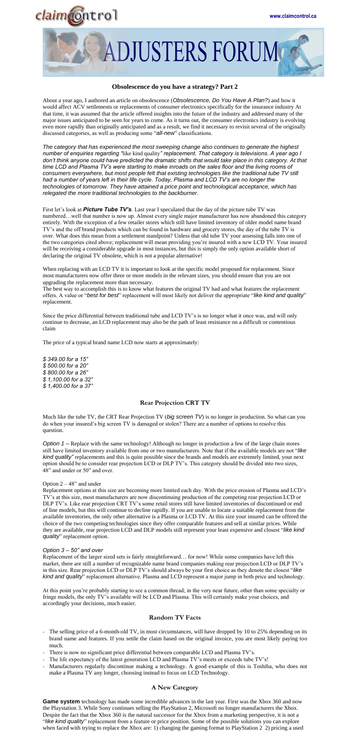



### **Obsolescence do you have a strategy? Part 2**

About a year ago, I authored an article on obsolescence (*Obsolescence, Do You Have A Plan?*) and how it would affect ACV settlements or replacements of consumer electronics specifically for the insurance industry At that time, it was assumed that the article offered insights into the future of the industry and addressed many of the major issues anticipated to be seen for years to come. As it turns out, the consumer electronics industry is evolving even more rapidly than originally anticipated and as a result, we find it necessary to revisit several of the originally discussed categories, as well as producing some "*all-new*" classifications.

*The category that has experienced the most sweeping change also continues to generate the highest number of enquiries regarding "*like kind quality*" replacement. That category is televisions. A year ago I don't think anyone could have predicted the dramatic shifts that would take place in this category. At that time LCD and Plasma TV's were starting to make inroads on the sales floor and the living rooms of consumers everywhere, but most people felt that existing technologies like the traditional tube TV still had a number of years left in their life cycle. Today, Plasma and LCD TV's are no longer the technologies of tomorrow. They have attained a price point and technological acceptance, which has relegated the more traditional technologies to the backburner.* 

First let's look at **Picture Tube TV's**. Last year I speculated that the day of the picture tube TV was numbered…well that number is now up. Almost every single major manufacturer has now abandoned this category entirely. With the exception of a few retailer stores which still have limited inventory of older model name brand TV's and the off brand products which can be found in hardware and grocery stores, the day of the tube TV is over. What does this mean from a settlement standpoint? Unless that old tube TV your assessing falls into one of the two categories cited above; replacement will mean providing you're insured with a new LCD TV. Your insured will be receiving a considerable upgrade in most instances, but this is simply the only option available short of declaring the original TV obsolete, which is not a popular alternative!

When replacing with an LCD TV it is important to look at the specific model proposed for replacement. Since most manufacturers now offer three or more models in the relevant sizes, you should ensure that you are not upgrading the replacement more than necessary.

Much like the tube TV, the CRT Rear Projection TV (*big screen TV*) is no longer in production. So what can you do when your insured's big screen TV is damaged or stolen? There are a number of options to resolve this

*Option 1* – Replace with the same technology! Although no longer in production a few of the large chain stores still have limited inventory available from one or two manufacturers. Note that if the available models are not "*like kind quality"* replacements and this is quite possible since the brands and models are extremely limited, your next option should be to consider rear projection LCD or DLP TV's. This category should be divided into two sizes, 48" and under or 50" and over.

#### Option  $2 - 48$ " and under

The best way to accomplish this is to know what features the original TV had and what features the replacement offers. A value or "*best for best*" replacement will most likely not deliver the appropriate "*like kind and quality*" replacement.

Since the price differential between traditional tube and LCD TV's is no longer what it once was, and will only continue to decrease, an LCD replacement may also be the path of least resistance on a difficult or contentious claim

- The selling price of a 6-month-old TV, in most circumstances, will have dropped by 10 to 25% depending on its brand name and features. If you settle the claim based on the original invoice, you are most likely paying too much.
- There is now no significant price differential between comparable LCD and Plasma TV's.
- The life expectancy of the latest generation LCD and Plasma TV's meets or exceeds tube TV's!
- Manufacturers regularly discontinue making a technology. A good example of this is Toshiba, who does not make a Plasma TV any longer, choosing instead to focus on LCD Technology.

The price of a typical brand name LCD now starts at approximately:

*\$ 349.00 for a 15" \$ 500.00 for a 20" \$ 800.00 for a 26" \$ 1,100.00 for a 32" \$ 1,400.00 for a 37"* 

### **Rear Projection CRT TV**

question.

Replacement options at this size are becoming more limited each day. With the price erosion of Plasma and LCD's TV's at this size, most manufacturers are now discontinuing production of the competing rear projection LCD or DLP TV's. Like rear projection CRT TV's some retail stores still have limited inventories of discontinued or end of line models, but this will continue to decline rapidly. If you are unable to locate a suitable replacement from the available inventories, the only other alternative is a Plasma or LCD TV. At this size your insured can be offered the choice of the two competing technologies since they offer comparable features and sell at similar prices. While they are available, rear projection LCD and DLP models still represent your least expensive and closest "*like kind quality*" replacement option.

#### *Option 3 – 50" and over*

Replacement of the larger sized sets is fairly straightforward… for now! While some companies have left this market, there are still a number of recognizable name brand companies making rear projection LCD or DLP TV's in this size. Rear projection LCD or DLP TV's should always be your first choice as they denote the closest "*like kind and quality*" replacement alternative. Plasma and LCD represent a major jump in both price and technology.

At this point you're probably starting to see a common thread; in the very near future, other than some specialty or fringe models, the only TV's available will be LCD and Plasma. This will certainly make your choices, and accordingly your decisions, much easier.

# **Random TV Facts**

# **A New Category**

**Game system** technology has made some incredible advances in the last year. First was the Xbox 360 and now the Playstation 3. While Sony continues selling the PlayStation 2, Microsoft no longer manufacturers the Xbox. Despite the fact that the Xbox 360 is the natural successor for the Xbox from a marketing perspective, it is not a "*like kind quality*" replacement from a feature or price position. Some of the possible solutions you can explore when faced with trying to replace the Xbox are: 1) changing the gaming format to PlayStation 2 2) pricing a used